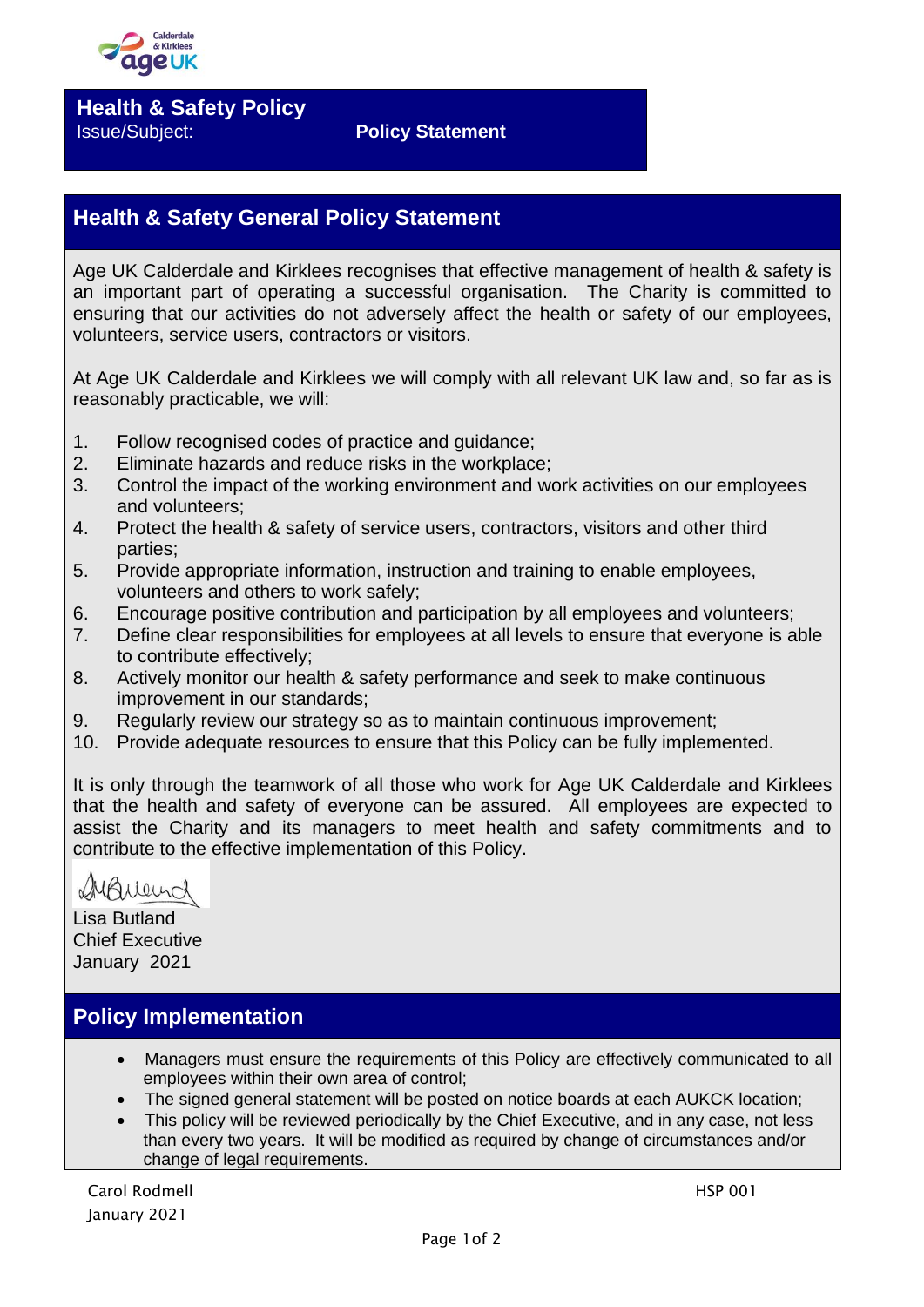

**Health & Safety Policy** Issue/Subject: **Policy Statement**

## **Health & Safety General Policy Statement**

Age UK Calderdale and Kirklees recognises that effective management of health & safety is an important part of operating a successful organisation. The Charity is committed to ensuring that our activities do not adversely affect the health or safety of our employees, volunteers, service users, contractors or visitors.

At Age UK Calderdale and Kirklees we will comply with all relevant UK law and, so far as is reasonably practicable, we will:

- 1. Follow recognised codes of practice and guidance;
- 2. Eliminate hazards and reduce risks in the workplace;
- 3. Control the impact of the working environment and work activities on our employees and volunteers;
- 4. Protect the health & safety of service users, contractors, visitors and other third parties;
- 5. Provide appropriate information, instruction and training to enable employees, volunteers and others to work safely;
- 6. Encourage positive contribution and participation by all employees and volunteers;
- 7. Define clear responsibilities for employees at all levels to ensure that everyone is able to contribute effectively;
- 8. Actively monitor our health & safety performance and seek to make continuous improvement in our standards;
- 9. Regularly review our strategy so as to maintain continuous improvement;
- 10. Provide adequate resources to ensure that this Policy can be fully implemented.

It is only through the teamwork of all those who work for Age UK Calderdale and Kirklees that the health and safety of everyone can be assured. All employees are expected to assist the Charity and its managers to meet health and safety commitments and to contribute to the effective implementation of this Policy.

MANeurch

Lisa Butland Chief Executive January 2021

## **Policy Implementation**

- Managers must ensure the requirements of this Policy are effectively communicated to all employees within their own area of control;
- The signed general statement will be posted on notice boards at each AUKCK location;
- This policy will be reviewed periodically by the Chief Executive, and in any case, not less than every two years. It will be modified as required by change of circumstances and/or change of legal requirements.

Carol Rodmell **HSP 001** January 2021